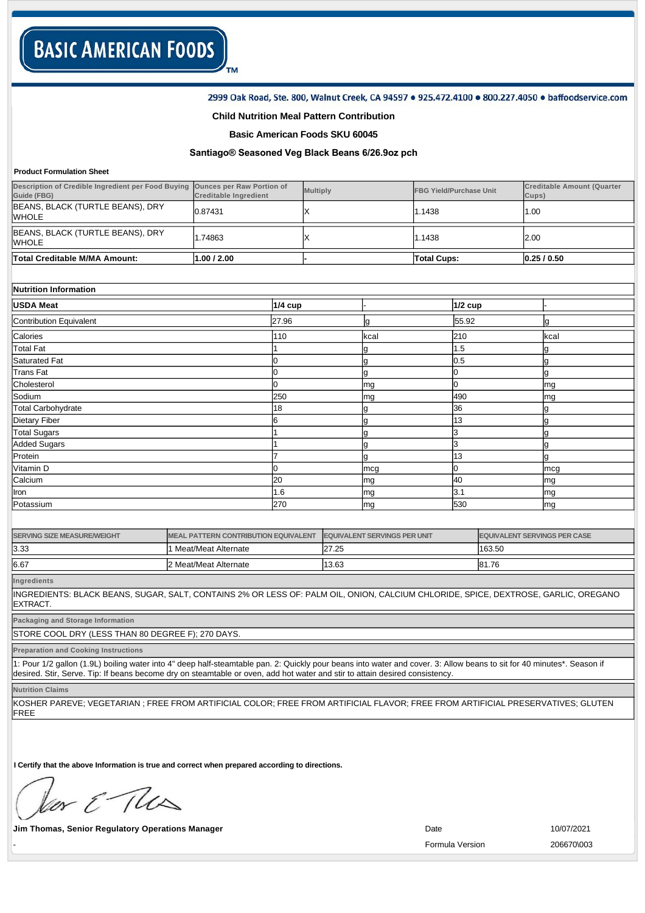#### 2999 Oak Road, Ste. 800, Walnut Creek, CA 94597 . 925.472.4100 . 800.227.4050 . baffoodservice.com

#### **Child Nutrition Meal Pattern Contribution**

TM

### **Basic American Foods SKU 60045**

# **Santiago® Seasoned Veg Black Beans 6/26.9oz pch**

#### **Product Formulation Sheet**

| <b>Total Creditable M/MA Amount:</b>                                                        | 1.00 / 2.00                  |          | <b>Total Cups:</b>             | 0.25/0.50                                  |
|---------------------------------------------------------------------------------------------|------------------------------|----------|--------------------------------|--------------------------------------------|
| BEANS, BLACK (TURTLE BEANS), DRY<br>WHOLE                                                   | .74863                       |          | 1.1438                         | 2.00                                       |
| BEANS, BLACK (TURTLE BEANS), DRY<br><b>WHOLE</b>                                            | 0.87431                      |          | 1.1438                         | 1.00                                       |
| Description of Credible Ingredient per Food Buying Ounces per Raw Portion of<br>Guide (FBG) | <b>Creditable Ingredient</b> | Multiply | <b>FBG Yield/Purchase Unit</b> | <b>Creditable Amount (Quarter</b><br>Cups) |

|  |  |  | Nutrition Information |  |
|--|--|--|-----------------------|--|
|--|--|--|-----------------------|--|

| <b>USDA Meat</b>        | 1/4 cup |      | $1/2$ cup |      |
|-------------------------|---------|------|-----------|------|
| Contribution Equivalent | 27.96   | Ig   | 55.92     | g    |
| Calories                | 110     | kcal | 210       | kcal |
| Total Fat               |         | g    | 1.5       | 19   |
| Saturated Fat           |         | g    | 0.5       | Ig   |
| <b>Trans Fat</b>        |         | g    |           | 19   |
| Cholesterol             |         | mg   |           | mg   |
| Sodium                  | 250     | mg   | 490       | mg   |
| Total Carbohydrate      | 18      | g    | 36        | 19   |
| Dietary Fiber           |         | g    | 13        |      |
| <b>Total Sugars</b>     |         | g    | 13        |      |
| Added Sugars            |         | g    | IЗ        | l9   |
| Protein                 |         | g    | 13        | g    |
| Vitamin D               |         | mcg  |           | mcg  |
| Calcium                 | 20      | mg   | 40        | mg   |
| Iron                    | 1.6     | mg   | 3.1       | mg   |
| Potassium               | 270     | mg   | 530       | mg   |

| <b>SERVING SIZE MEASURE/WEIGHT</b> | MEAL PATTERN CONTRIBUTION EQUIVALENT | <b>EQUIVALENT SERVINGS PER UNIT</b> | <b>EQUIVALENT SERVINGS PER CASE</b> |
|------------------------------------|--------------------------------------|-------------------------------------|-------------------------------------|
| 3.33                               | Meat/Meat Alternate                  | 27.25                               | 163.50                              |
| 6.67                               | 2 Meat/Meat Alternate                | 13.63                               | 81.76                               |

**Ingredients**

INGREDIENTS: BLACK BEANS, SUGAR, SALT, CONTAINS 2% OR LESS OF: PALM OIL, ONION, CALCIUM CHLORIDE, SPICE, DEXTROSE, GARLIC, OREGANO EXTRACT.

**Packaging and Storage Information**

STORE COOL DRY (LESS THAN 80 DEGREE F); 270 DAYS.

**Preparation and Cooking Instructions**

1: Pour 1/2 gallon (1.9L) boiling water into 4" deep half-steamtable pan. 2: Quickly pour beans into water and cover. 3: Allow beans to sit for 40 minutes\*. Season if desired. Stir, Serve. Tip: If beans become dry on steamtable or oven, add hot water and stir to attain desired consistency.

**Nutrition Claims**

KOSHER PAREVE; VEGETARIAN ; FREE FROM ARTIFICIAL COLOR; FREE FROM ARTIFICIAL FLAVOR; FREE FROM ARTIFICIAL PRESERVATIVES; GLUTEN FREE

**I Certify that the above Information is true and correct when prepared according to directions.** 

or E This

**Jim Thomas, Senior Regulatory Operations Manager Date** 10/07/2021

- Formula Version 206670\003